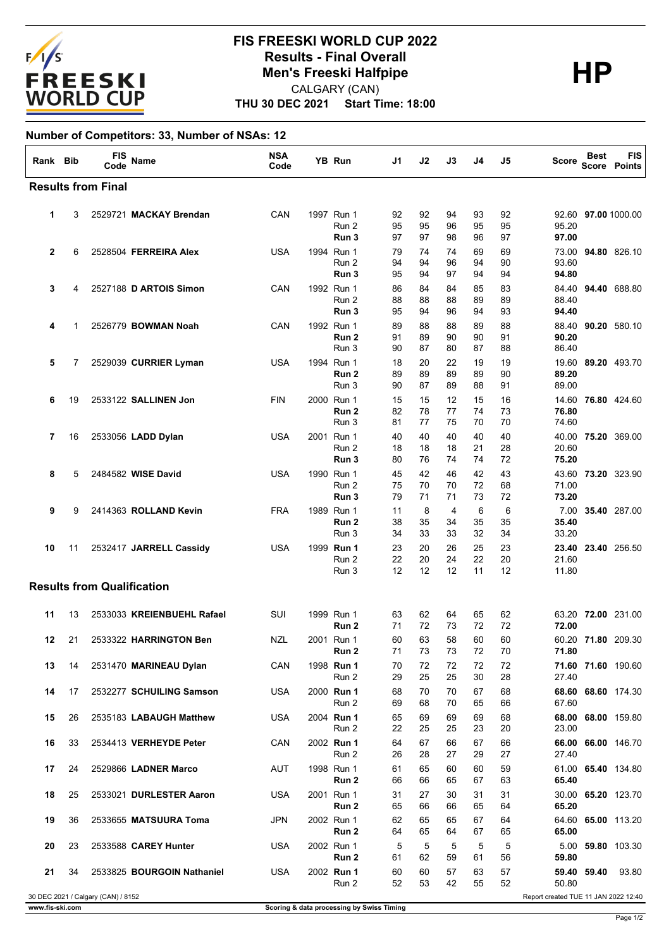

## **THU 30 DEC 2021 Start Time: 18:00 FIS FREESKI WORLD CUP 2022 Results - Final Overall<br>
Men's Freeski Halfpipe<br>
CALGARY (CAN)** CALGARY (CAN)

## **Number of Competitors: 33, Number of NSAs: 12**

| Rank Bib     |                                                                            | <b>FIS</b><br>Code                | Name                       | <b>NSA</b><br>Code |  | YB Run                                  | J1             | J2             | J3             | J4             | J5             | Score                   | <b>Best</b> | FIS<br><b>Score Points</b> |
|--------------|----------------------------------------------------------------------------|-----------------------------------|----------------------------|--------------------|--|-----------------------------------------|----------------|----------------|----------------|----------------|----------------|-------------------------|-------------|----------------------------|
|              |                                                                            | <b>Results from Final</b>         |                            |                    |  |                                         |                |                |                |                |                |                         |             |                            |
| 1            | 3                                                                          |                                   | 2529721 MACKAY Brendan     | CAN                |  | 1997 Run 1<br>Run 2<br>Run 3            | 92<br>95<br>97 | 92<br>95<br>97 | 94<br>96<br>98 | 93<br>95<br>96 | 92<br>95<br>97 | 95.20<br>97.00          |             | 92.60 97.00 1000.00        |
| $\mathbf{2}$ | 6                                                                          |                                   | 2528504 FERREIRA Alex      | <b>USA</b>         |  | 1994 Run 1<br>Run 2<br>Run 3            | 79<br>94<br>95 | 74<br>94<br>94 | 74<br>96<br>97 | 69<br>94<br>94 | 69<br>90<br>94 | 73.00<br>93.60<br>94.80 |             | 94.80 826.10               |
| 3            | 4                                                                          |                                   | 2527188 D ARTOIS Simon     | CAN                |  | 1992 Run 1<br>Run 2<br>Run 3            | 86<br>88<br>95 | 84<br>88<br>94 | 84<br>88<br>96 | 85<br>89<br>94 | 83<br>89<br>93 | 88.40<br>94.40          |             | 84.40 94.40 688.80         |
| 4            | 1                                                                          |                                   | 2526779 BOWMAN Noah        | CAN                |  | 1992 Run 1<br>Run 2<br>Run 3            | 89<br>91<br>90 | 88<br>89<br>87 | 88<br>90<br>80 | 89<br>90<br>87 | 88<br>91<br>88 | 90.20<br>86.40          |             | 88.40 90.20 580.10         |
| 5            | 7                                                                          |                                   | 2529039 CURRIER Lyman      | <b>USA</b>         |  | 1994 Run 1<br>Run <sub>2</sub><br>Run 3 | 18<br>89<br>90 | 20<br>89<br>87 | 22<br>89<br>89 | 19<br>89<br>88 | 19<br>90<br>91 | 89.20<br>89.00          |             | 19.60 89.20 493.70         |
| 6            | 19                                                                         |                                   | 2533122 SALLINEN Jon       | <b>FIN</b>         |  | 2000 Run 1<br>Run 2<br>Run 3            | 15<br>82<br>81 | 15<br>78<br>77 | 12<br>77<br>75 | 15<br>74<br>70 | 16<br>73<br>70 | 14.60<br>76.80<br>74.60 |             | 76.80 424.60               |
| 7            | 16                                                                         |                                   | 2533056 LADD Dylan         | <b>USA</b>         |  | 2001 Run 1<br>Run 2<br>Run 3            | 40<br>18<br>80 | 40<br>18<br>76 | 40<br>18<br>74 | 40<br>21<br>74 | 40<br>28<br>72 | 40.00<br>20.60<br>75.20 |             | 75.20 369.00               |
| 8            | 5                                                                          |                                   | 2484582 WISE David         | <b>USA</b>         |  | 1990 Run 1<br>Run 2<br>Run 3            | 45<br>75<br>79 | 42<br>70<br>71 | 46<br>70<br>71 | 42<br>72<br>73 | 43<br>68<br>72 | 43.60<br>71.00<br>73.20 |             | 73.20 323.90               |
| 9            | 9                                                                          |                                   | 2414363 ROLLAND Kevin      | <b>FRA</b>         |  | 1989 Run 1<br>Run 2<br>Run 3            | 11<br>38<br>34 | 8<br>35<br>33  | 4<br>34<br>33  | 6<br>35<br>32  | 6<br>35<br>34  | 7.00<br>35.40<br>33.20  |             | 35.40 287.00               |
| 10           | 11                                                                         |                                   | 2532417 JARRELL Cassidy    | <b>USA</b>         |  | 1999 Run 1<br>Run 2<br>Run 3            | 23<br>22<br>12 | 20<br>20<br>12 | 26<br>24<br>12 | 25<br>22<br>11 | 23<br>20<br>12 | 21.60<br>11.80          |             | 23.40 23.40 256.50         |
|              |                                                                            | <b>Results from Qualification</b> |                            |                    |  |                                         |                |                |                |                |                |                         |             |                            |
| 11           | 13                                                                         |                                   | 2533033 KREIENBUEHL Rafael | SUI                |  | 1999 Run 1<br>Run 2                     | 63<br>71       | 62<br>72       | 64<br>73       | 65<br>72       | 62<br>72       | 63.20<br>72.00          |             | 72.00 231.00               |
| 12           | 21                                                                         |                                   | 2533322 HARRINGTON Ben     | NZL                |  | 2001 Run 1<br>Run 2                     | 60<br>71       | 63<br>73       | 58<br>73       | 60<br>72       | 60<br>70       | 71.80                   |             | 60.20 71.80 209.30         |
| 13           | 14                                                                         |                                   | 2531470 MARINEAU Dylan     | CAN                |  | 1998 Run 1<br>Run 2                     | 70<br>29       | 72<br>25       | 72<br>25       | 72<br>30       | 72<br>28       | 27.40                   |             | 71.60 71.60 190.60         |
| 14           | 17                                                                         |                                   | 2532277 SCHUILING Samson   | USA                |  | 2000 Run 1<br>Run 2                     | 68<br>69       | 70<br>68       | 70<br>70       | 67<br>65       | 68<br>66       | 67.60                   |             | 68.60 68.60 174.30         |
| 15           | 26                                                                         |                                   | 2535183 LABAUGH Matthew    | USA                |  | 2004 Run 1<br>Run 2                     | 65<br>22       | 69<br>25       | 69<br>25       | 69<br>23       | 68<br>20       | 23.00                   |             | 68.00 68.00 159.80         |
| 16           | 33                                                                         |                                   | 2534413 VERHEYDE Peter     | CAN                |  | 2002 Run 1<br>Run 2                     | 64<br>26       | 67<br>28       | 66<br>27       | 67<br>29       | 66<br>27       | 27.40                   |             | 66.00 66.00 146.70         |
| 17           | 24                                                                         |                                   | 2529866 LADNER Marco       | AUT                |  | 1998 Run 1<br>Run <sub>2</sub>          | 61<br>66       | 65<br>66       | 60<br>65       | 60<br>67       | 59<br>63       | 65.40                   |             | 61.00 65.40 134.80         |
| 18           | 25                                                                         |                                   | 2533021 DURLESTER Aaron    | <b>USA</b>         |  | 2001 Run 1<br>Run 2                     | 31<br>65       | 27<br>66       | 30<br>66       | 31<br>65       | 31<br>64       | 65.20                   |             | 30.00 65.20 123.70         |
| 19           | 36                                                                         |                                   | 2533655 MATSUURA Toma      | JPN                |  | 2002 Run 1<br>Run 2                     | 62<br>64       | 65<br>65       | 65<br>64       | 67<br>67       | 64<br>65       | 65.00                   |             | 64.60 65.00 113.20         |
| 20           | 23                                                                         |                                   | 2533588 CAREY Hunter       | <b>USA</b>         |  | 2002 Run 1<br>Run 2                     | 5<br>61        | 5<br>62        | 5<br>59        | 5<br>61        | 5<br>56        | 59.80                   |             | 5.00 59.80 103.30          |
| 21           | 34                                                                         |                                   | 2533825 BOURGOIN Nathaniel | <b>USA</b>         |  | 2002 Run 1<br>Run 2                     | 60<br>52       | 60<br>53       | 57<br>42       | 63<br>55       | 57<br>52       | 50.80                   | 59.40 59.40 | 93.80                      |
|              | 30 DEC 2021 / Calgary (CAN) / 8152<br>Report created TUE 11 JAN 2022 12:40 |                                   |                            |                    |  |                                         |                |                |                |                |                |                         |             |                            |